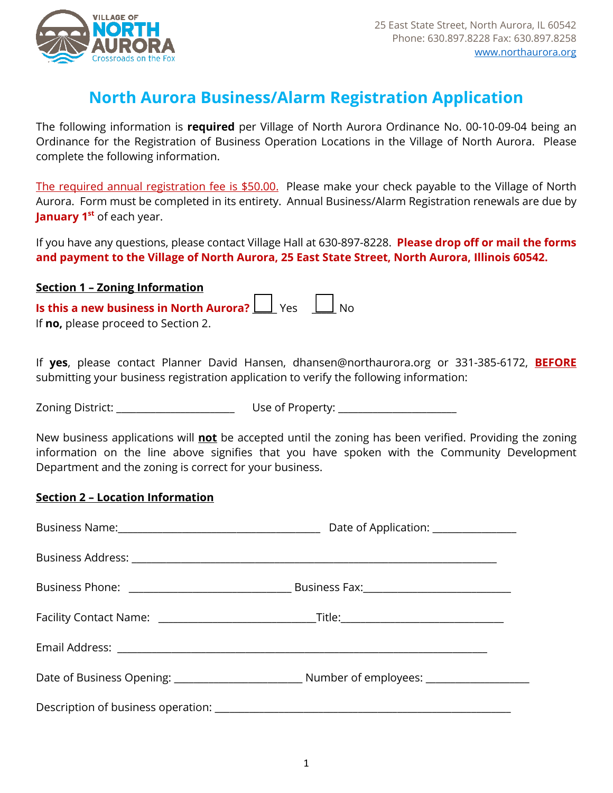

## **North Aurora Business/Alarm Registration Application**

The following information is **required** per Village of North Aurora Ordinance No. 00-10-09-04 being an Ordinance for the Registration of Business Operation Locations in the Village of North Aurora. Please complete the following information.

The required annual registration fee is \$50.00. Please make your check payable to the Village of North Aurora. Form must be completed in its entirety. Annual Business/Alarm Registration renewals are due by **January 1<sup>st</sup>** of each year.

If you have any questions, please contact Village Hall at 630-897-8228. **Please drop off or mail the forms and payment to the Village of North Aurora, 25 East State Street, North Aurora, Illinois 60542.**

## **Section 1 – Zoning Information**

**Is this a new business in North Aurora?** \_\_\_\_\_ Yes \_\_\_\_\_ No If **no,** please proceed to Section 2.

If **yes**, please contact Planner David Hansen, dhansen@northaurora.org or 331-385-6172, **BEFORE** submitting your business registration application to verify the following information:

Zoning District: \_\_\_\_\_\_\_\_\_\_\_\_\_\_\_\_\_\_\_\_\_\_\_\_ Use of Property: \_\_\_\_\_\_\_\_\_\_\_\_\_\_\_\_\_\_\_\_\_\_\_\_

New business applications will **not** be accepted until the zoning has been verified. Providing the zoning information on the line above signifies that you have spoken with the Community Development Department and the zoning is correct for your business.

## **Section 2 – Location Information**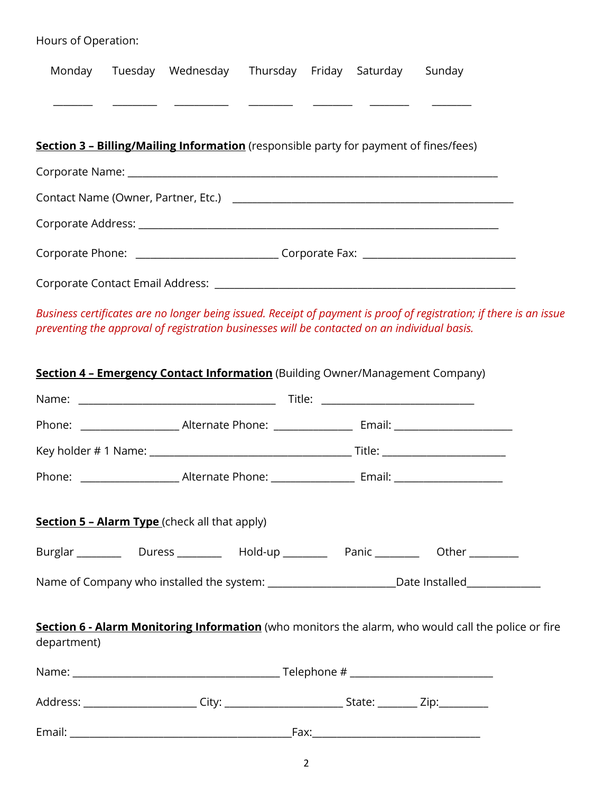| Hours of Operation: |                                                                                                      |  |  |                                                                                                                     |
|---------------------|------------------------------------------------------------------------------------------------------|--|--|---------------------------------------------------------------------------------------------------------------------|
| Monday              | Tuesday Wednesday Thursday Friday Saturday Sunday                                                    |  |  |                                                                                                                     |
|                     |                                                                                                      |  |  |                                                                                                                     |
|                     |                                                                                                      |  |  |                                                                                                                     |
|                     | Section 3 - Billing/Mailing Information (responsible party for payment of fines/fees)                |  |  |                                                                                                                     |
|                     |                                                                                                      |  |  |                                                                                                                     |
|                     |                                                                                                      |  |  |                                                                                                                     |
|                     |                                                                                                      |  |  |                                                                                                                     |
|                     | Corporate Phone: __________________________________Corporate Fax: __________________________________ |  |  |                                                                                                                     |
|                     |                                                                                                      |  |  |                                                                                                                     |
|                     | preventing the approval of registration businesses will be contacted on an individual basis.         |  |  | Business certificates are no longer being issued. Receipt of payment is proof of registration; if there is an issue |
|                     | Section 4 - Emergency Contact Information (Building Owner/Management Company)                        |  |  |                                                                                                                     |
|                     |                                                                                                      |  |  |                                                                                                                     |
|                     |                                                                                                      |  |  |                                                                                                                     |
|                     |                                                                                                      |  |  |                                                                                                                     |
| Phone:              |                                                                                                      |  |  |                                                                                                                     |
|                     | <b>Section 5 - Alarm Type</b> (check all that apply)                                                 |  |  |                                                                                                                     |
|                     | Burglar ___________ Duress ___________ Hold-up ____________ Panic ____________ Other __________      |  |  |                                                                                                                     |
|                     | Name of Company who installed the system: __________________________Date Installed________________   |  |  |                                                                                                                     |
|                     |                                                                                                      |  |  |                                                                                                                     |
| department)         | Section 6 - Alarm Monitoring Information (who monitors the alarm, who would call the police or fire  |  |  |                                                                                                                     |
|                     |                                                                                                      |  |  |                                                                                                                     |

Email: \_\_\_\_\_\_\_\_\_\_\_\_\_\_\_\_\_\_\_\_\_\_\_\_\_\_\_\_\_\_\_\_\_\_\_\_\_\_\_\_\_\_\_\_\_Fax:\_\_\_\_\_\_\_\_\_\_\_\_\_\_\_\_\_\_\_\_\_\_\_\_\_\_\_\_\_\_\_\_\_\_